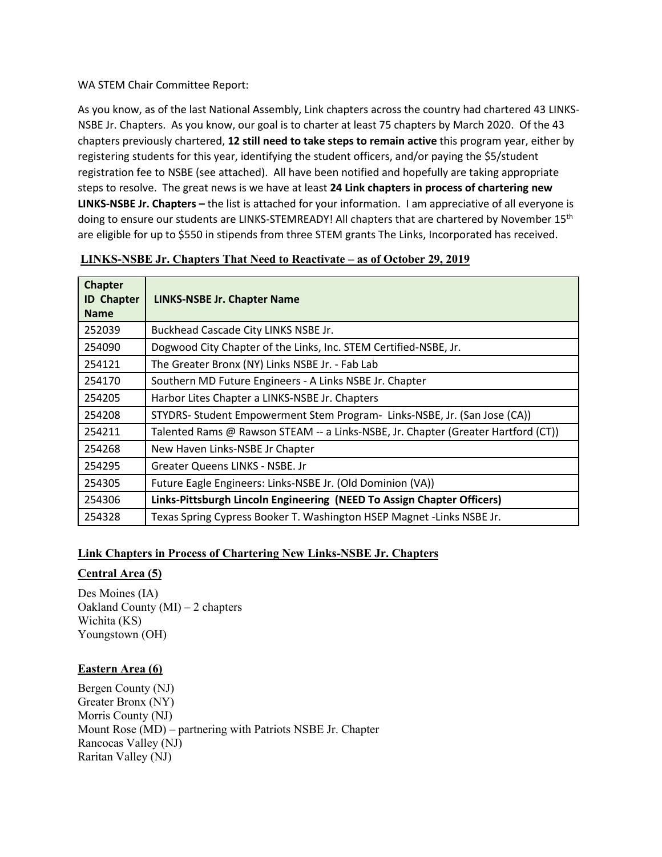#### WA STEM Chair Committee Report:

As you know, as of the last National Assembly, Link chapters across the country had chartered 43 LINKS-NSBE Jr. Chapters. As you know, our goal is to charter at least 75 chapters by March 2020. Of the 43 chapters previously chartered, **12 still need to take steps to remain active** this program year, either by registering students for this year, identifying the student officers, and/or paying the \$5/student registration fee to NSBE (see attached). All have been notified and hopefully are taking appropriate steps to resolve. The great news is we have at least **24 Link chapters in process of chartering new LINKS-NSBE Jr. Chapters –** the list is attached for your information. I am appreciative of all everyone is doing to ensure our students are LINKS-STEMREADY! All chapters that are chartered by November 15<sup>th</sup> are eligible for up to \$550 in stipends from three STEM grants The Links, Incorporated has received.

| <b>Chapter</b><br><b>ID Chapter</b> | <b>LINKS-NSBE Jr. Chapter Name</b>                                                |
|-------------------------------------|-----------------------------------------------------------------------------------|
| <b>Name</b>                         |                                                                                   |
| 252039                              | Buckhead Cascade City LINKS NSBE Jr.                                              |
| 254090                              | Dogwood City Chapter of the Links, Inc. STEM Certified-NSBE, Jr.                  |
| 254121                              | The Greater Bronx (NY) Links NSBE Jr. - Fab Lab                                   |
| 254170                              | Southern MD Future Engineers - A Links NSBE Jr. Chapter                           |
| 254205                              | Harbor Lites Chapter a LINKS-NSBE Jr. Chapters                                    |
| 254208                              | STYDRS- Student Empowerment Stem Program- Links-NSBE, Jr. (San Jose (CA))         |
| 254211                              | Talented Rams @ Rawson STEAM -- a Links-NSBE, Jr. Chapter (Greater Hartford (CT)) |
| 254268                              | New Haven Links-NSBE Jr Chapter                                                   |
| 254295                              | Greater Queens LINKS - NSBE. Jr                                                   |
| 254305                              | Future Eagle Engineers: Links-NSBE Jr. (Old Dominion (VA))                        |
| 254306                              | Links-Pittsburgh Lincoln Engineering (NEED To Assign Chapter Officers)            |
| 254328                              | Texas Spring Cypress Booker T. Washington HSEP Magnet -Links NSBE Jr.             |

### **LINKS-NSBE Jr. Chapters That Need to Reactivate – as of October 29, 2019**

#### **Link Chapters in Process of Chartering New Links-NSBE Jr. Chapters**

#### **Central Area (5)**

Des Moines (IA) Oakland County (MI) – 2 chapters Wichita (KS) Youngstown (OH)

#### **Eastern Area (6)**

Bergen County (NJ) Greater Bronx (NY) Morris County (NJ) Mount Rose (MD) – partnering with Patriots NSBE Jr. Chapter Rancocas Valley (NJ) Raritan Valley (NJ)